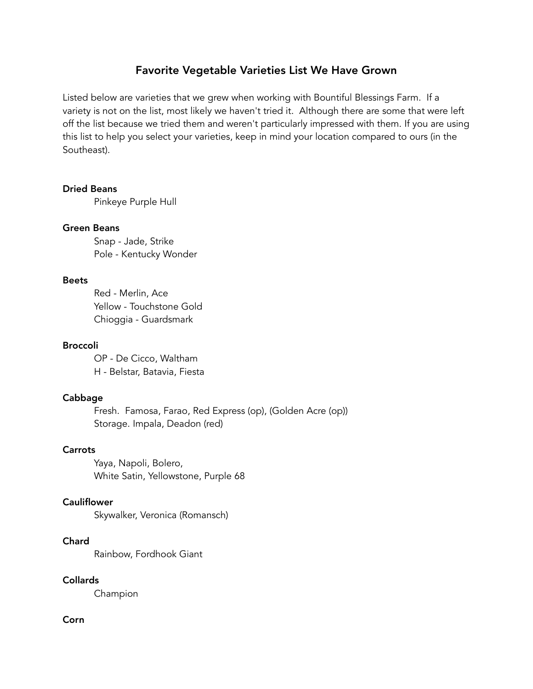# Favorite Vegetable Varieties List We Have Grown

Listed below are varieties that we grew when working with Bountiful Blessings Farm. If a variety is not on the list, most likely we haven't tried it. Although there are some that were left off the list because we tried them and weren't particularly impressed with them. If you are using this list to help you select your varieties, keep in mind your location compared to ours (in the Southeast).

## Dried Beans

Pinkeye Purple Hull

## Green Beans

Snap - Jade, Strike Pole - Kentucky Wonder

## Beets

Red - Merlin, Ace Yellow - Touchstone Gold Chioggia - Guardsmark

## Broccoli

OP - De Cicco, Waltham H - Belstar, Batavia, Fiesta

# Cabbage

Fresh. Famosa, Farao, Red Express (op), (Golden Acre (op)) Storage. Impala, Deadon (red)

# Carrots

Yaya, Napoli, Bolero, White Satin, Yellowstone, Purple 68

# **Cauliflower**

Skywalker, Veronica (Romansch)

# Chard

Rainbow, Fordhook Giant

# Collards

Champion

# Corn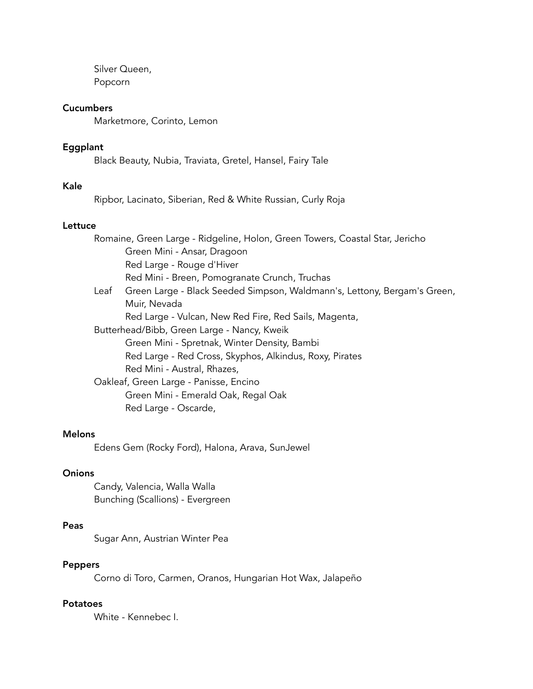Silver Queen, Popcorn

#### **Cucumbers**

Marketmore, Corinto, Lemon

# Eggplant

Black Beauty, Nubia, Traviata, Gretel, Hansel, Fairy Tale

## Kale

Ripbor, Lacinato, Siberian, Red & White Russian, Curly Roja

## Lettuce

|                                             | Romaine, Green Large - Ridgeline, Holon, Green Towers, Coastal Star, Jericho |
|---------------------------------------------|------------------------------------------------------------------------------|
|                                             | Green Mini - Ansar, Dragoon                                                  |
|                                             | Red Large - Rouge d'Hiver                                                    |
|                                             | Red Mini - Breen, Pomogranate Crunch, Truchas                                |
| Leaf                                        | Green Large - Black Seeded Simpson, Waldmann's, Lettony, Bergam's Green,     |
|                                             | Muir, Nevada                                                                 |
|                                             | Red Large - Vulcan, New Red Fire, Red Sails, Magenta,                        |
| Butterhead/Bibb, Green Large - Nancy, Kweik |                                                                              |
|                                             | Green Mini - Spretnak, Winter Density, Bambi                                 |
|                                             | Red Large - Red Cross, Skyphos, Alkindus, Roxy, Pirates                      |
|                                             | Red Mini - Austral, Rhazes,                                                  |
|                                             | Oakleaf, Green Large - Panisse, Encino                                       |
|                                             | Green Mini - Emerald Oak, Regal Oak                                          |
|                                             | Red Large - Oscarde,                                                         |

#### Melons

Edens Gem (Rocky Ford), Halona, Arava, SunJewel

## **Onions**

Candy, Valencia, Walla Walla Bunching (Scallions) - Evergreen

## Peas

Sugar Ann, Austrian Winter Pea

# Peppers

Corno di Toro, Carmen, Oranos, Hungarian Hot Wax, Jalapeño

#### Potatoes

White - Kennebec I.